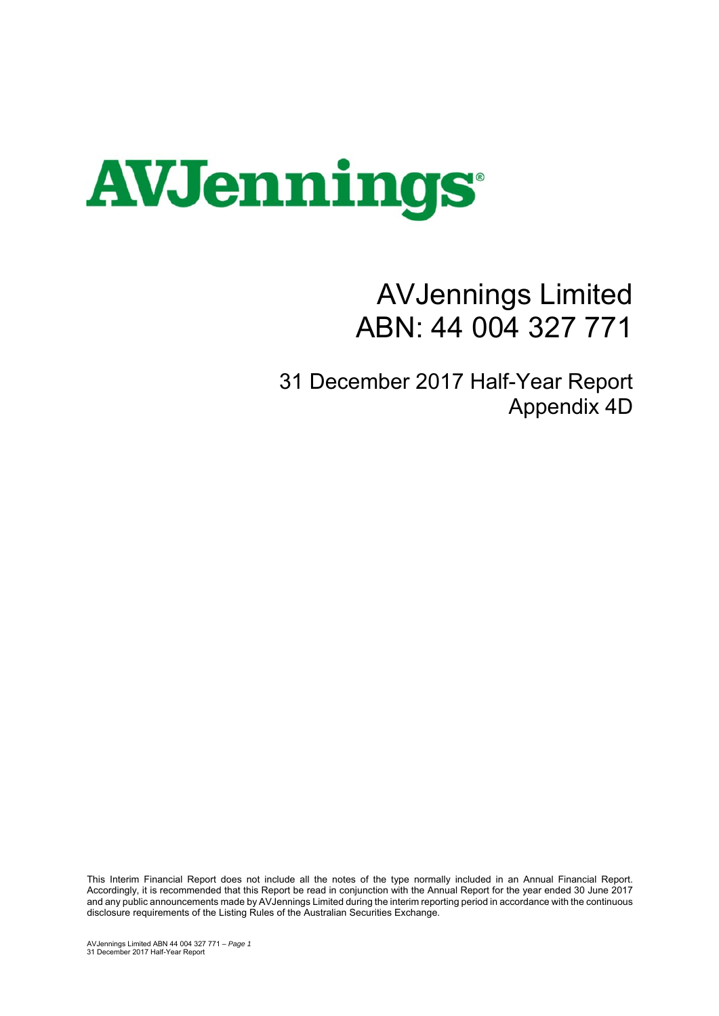

## AVJennings Limited ABN: 44 004 327 771

31 December 2017 Half-Year Report Appendix 4D

This Interim Financial Report does not include all the notes of the type normally included in an Annual Financial Report. Accordingly, it is recommended that this Report be read in conjunction with the Annual Report for the year ended 30 June 2017 and any public announcements made by AVJennings Limited during the interim reporting period in accordance with the continuous disclosure requirements of the Listing Rules of the Australian Securities Exchange.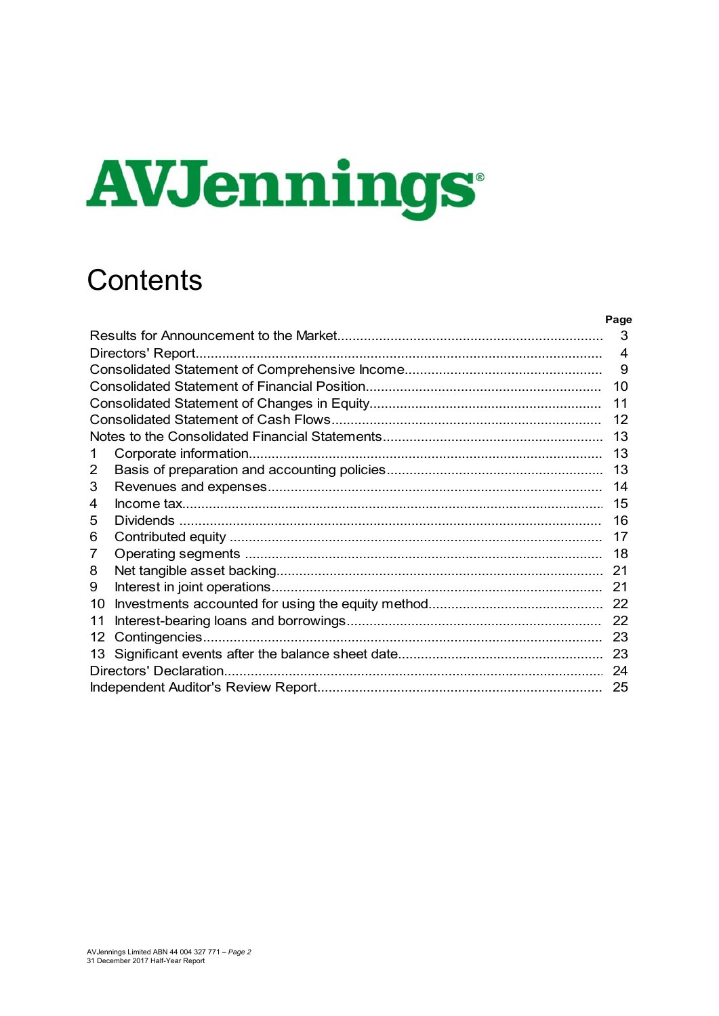# **AVJennings**

## **Contents**

|    | Page           |
|----|----------------|
|    | 3              |
|    | $\overline{4}$ |
|    | 9              |
|    | 10             |
|    | 11             |
|    | 12             |
|    | 13             |
| 1. | 13             |
| 2  | 13             |
| 3  | 14             |
| 4  | 15             |
| 5  | 16             |
| 6  | 17             |
| 7  | 18             |
| 8  | 21             |
| 9  | 21             |
| 10 |                |
| 11 |                |
| 12 | 23             |
| 13 | 23             |
|    | 24             |
|    |                |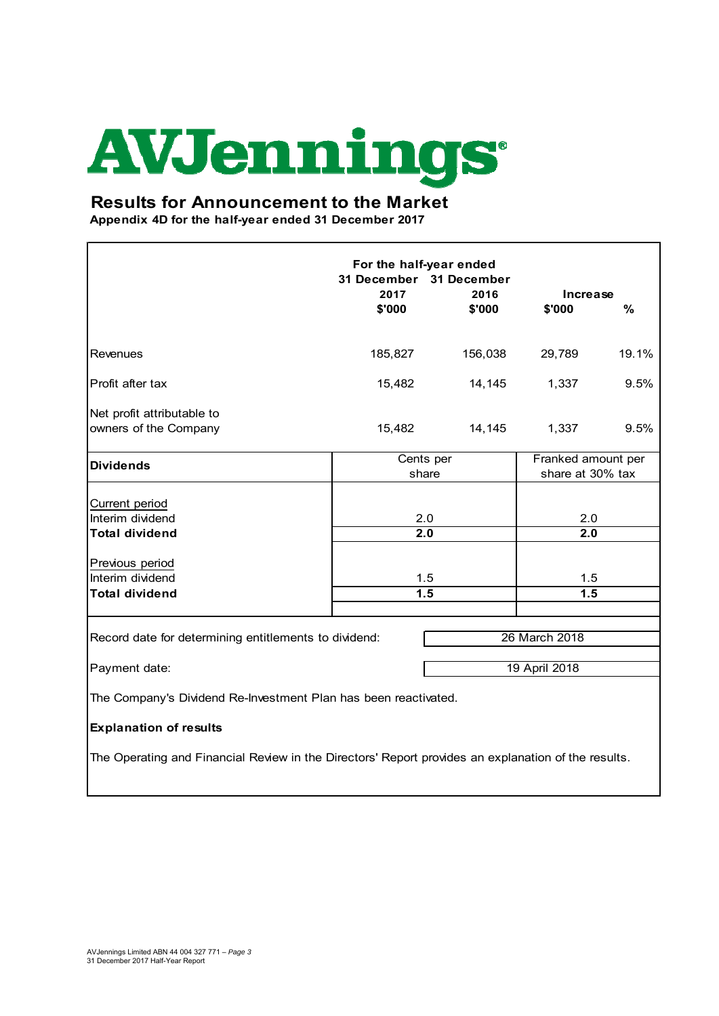## **AVJennings**

## **Results for Announcement to the Market**

**Appendix 4D for the half-year ended 31 December 2017**

|                                                                                                     | For the half-year ended<br>31 December 31 December<br>2017<br>2016<br>Increase |         |                                        |               |
|-----------------------------------------------------------------------------------------------------|--------------------------------------------------------------------------------|---------|----------------------------------------|---------------|
|                                                                                                     | \$'000                                                                         | \$'000  | \$'000                                 | $\frac{9}{6}$ |
| Revenues                                                                                            | 185,827                                                                        | 156,038 | 29,789                                 | 19.1%         |
| Profit after tax                                                                                    | 15,482                                                                         | 14,145  | 1,337                                  | 9.5%          |
| Net profit attributable to<br>owners of the Company                                                 | 15,482                                                                         | 14,145  | 1,337                                  | 9.5%          |
| <b>Dividends</b>                                                                                    | Cents per<br>share                                                             |         | Franked amount per<br>share at 30% tax |               |
| Current period<br>Interim dividend<br><b>Total dividend</b><br>Previous period                      | 2.0<br>2.0                                                                     |         | 2.0<br>2.0                             |               |
| Interim dividend                                                                                    | 1.5                                                                            |         | 1.5                                    |               |
| <b>Total dividend</b>                                                                               | 1.5                                                                            |         | 1.5                                    |               |
| Record date for determining entitlements to dividend:                                               |                                                                                |         | 26 March 2018                          |               |
| 19 April 2018<br>Payment date:                                                                      |                                                                                |         |                                        |               |
| The Company's Dividend Re-Investment Plan has been reactivated.                                     |                                                                                |         |                                        |               |
| <b>Explanation of results</b>                                                                       |                                                                                |         |                                        |               |
| The Operating and Financial Review in the Directors' Report provides an explanation of the results. |                                                                                |         |                                        |               |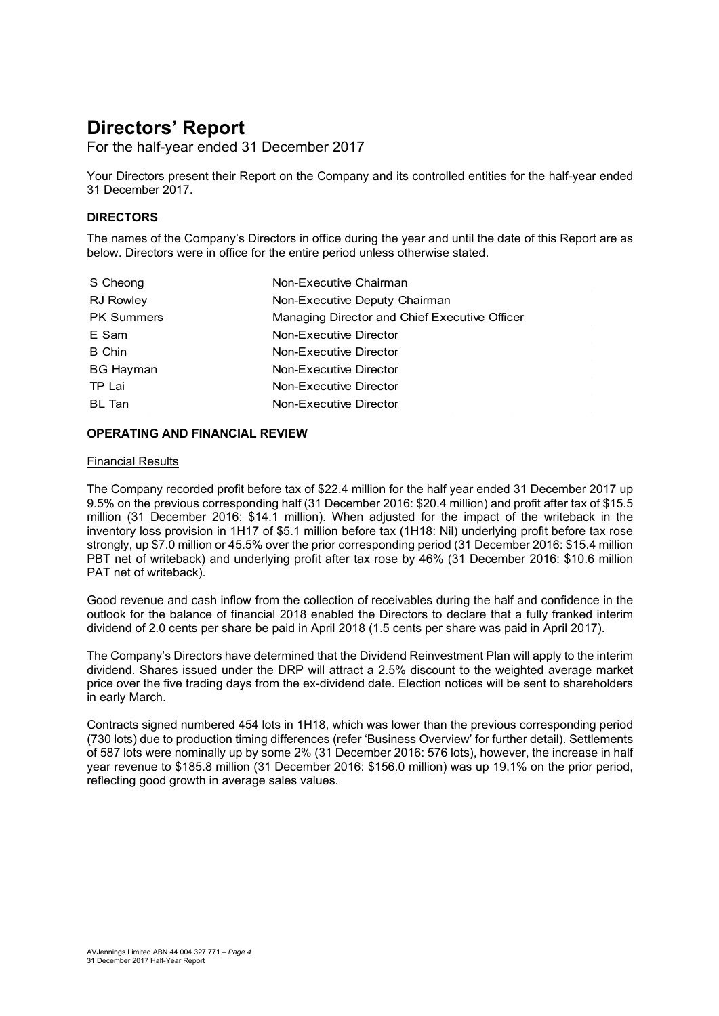For the half-year ended 31 December 2017

Your Directors present their Report on the Company and its controlled entities for the half-year ended 31 December 2017.

#### **DIRECTORS**

The names of the Company's Directors in office during the year and until the date of this Report are as below. Directors were in office for the entire period unless otherwise stated.

| Non-Executive Chairman                        |
|-----------------------------------------------|
| Non-Executive Deputy Chairman                 |
| Managing Director and Chief Executive Officer |
| Non-Executive Director                        |
| Non-Executive Director                        |
| Non-Executive Director                        |
| Non-Executive Director                        |
| Non-Executive Director                        |
|                                               |

#### **OPERATING AND FINANCIAL REVIEW**

#### Financial Results

The Company recorded profit before tax of \$22.4 million for the half year ended 31 December 2017 up 9.5% on the previous corresponding half (31 December 2016: \$20.4 million) and profit after tax of \$15.5 million (31 December 2016: \$14.1 million). When adjusted for the impact of the writeback in the inventory loss provision in 1H17 of \$5.1 million before tax (1H18: Nil) underlying profit before tax rose strongly, up \$7.0 million or 45.5% over the prior corresponding period (31 December 2016: \$15.4 million PBT net of writeback) and underlying profit after tax rose by 46% (31 December 2016: \$10.6 million PAT net of writeback).

Good revenue and cash inflow from the collection of receivables during the half and confidence in the outlook for the balance of financial 2018 enabled the Directors to declare that a fully franked interim dividend of 2.0 cents per share be paid in April 2018 (1.5 cents per share was paid in April 2017).

The Company's Directors have determined that the Dividend Reinvestment Plan will apply to the interim dividend. Shares issued under the DRP will attract a 2.5% discount to the weighted average market price over the five trading days from the ex-dividend date. Election notices will be sent to shareholders in early March.

Contracts signed numbered 454 lots in 1H18, which was lower than the previous corresponding period (730 lots) due to production timing differences (refer 'Business Overview' for further detail). Settlements of 587 lots were nominally up by some 2% (31 December 2016: 576 lots), however, the increase in half year revenue to \$185.8 million (31 December 2016: \$156.0 million) was up 19.1% on the prior period, reflecting good growth in average sales values.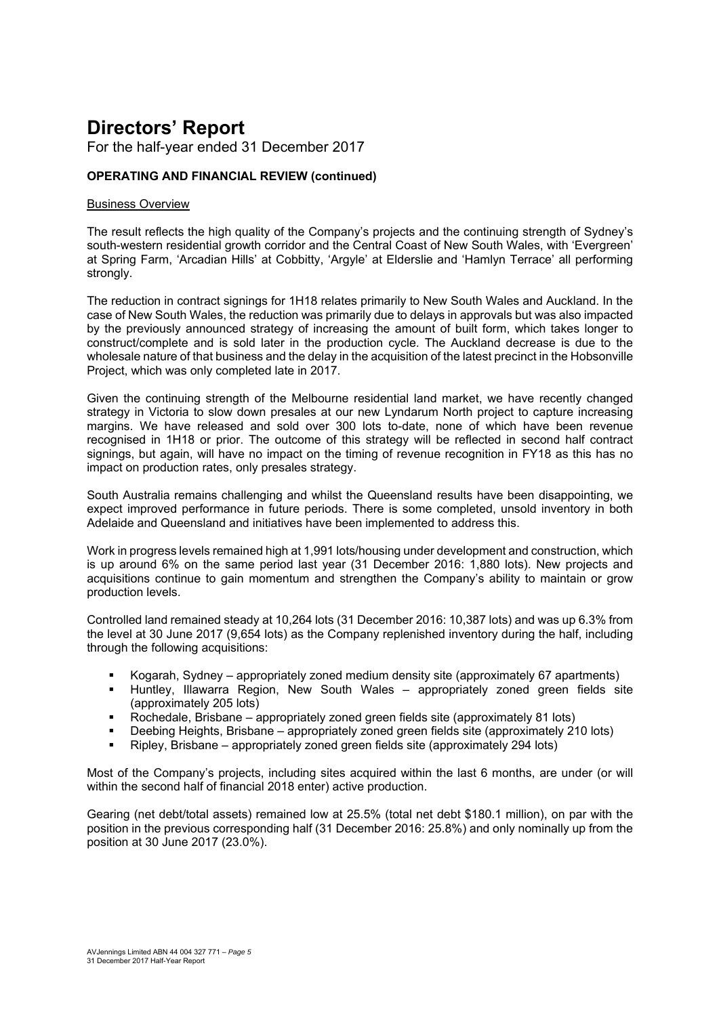For the half-year ended 31 December 2017

## **OPERATING AND FINANCIAL REVIEW (continued)**

#### Business Overview

The result reflects the high quality of the Company's projects and the continuing strength of Sydney's south-western residential growth corridor and the Central Coast of New South Wales, with 'Evergreen' at Spring Farm, 'Arcadian Hills' at Cobbitty, 'Argyle' at Elderslie and 'Hamlyn Terrace' all performing strongly.

The reduction in contract signings for 1H18 relates primarily to New South Wales and Auckland. In the case of New South Wales, the reduction was primarily due to delays in approvals but was also impacted by the previously announced strategy of increasing the amount of built form, which takes longer to construct/complete and is sold later in the production cycle. The Auckland decrease is due to the wholesale nature of that business and the delay in the acquisition of the latest precinct in the Hobsonville Project, which was only completed late in 2017.

Given the continuing strength of the Melbourne residential land market, we have recently changed strategy in Victoria to slow down presales at our new Lyndarum North project to capture increasing margins. We have released and sold over 300 lots to-date, none of which have been revenue recognised in 1H18 or prior. The outcome of this strategy will be reflected in second half contract signings, but again, will have no impact on the timing of revenue recognition in FY18 as this has no impact on production rates, only presales strategy.

South Australia remains challenging and whilst the Queensland results have been disappointing, we expect improved performance in future periods. There is some completed, unsold inventory in both Adelaide and Queensland and initiatives have been implemented to address this.

Work in progress levels remained high at 1,991 lots/housing under development and construction, which is up around 6% on the same period last year (31 December 2016: 1,880 lots). New projects and acquisitions continue to gain momentum and strengthen the Company's ability to maintain or grow production levels.

Controlled land remained steady at 10,264 lots (31 December 2016: 10,387 lots) and was up 6.3% from the level at 30 June 2017 (9,654 lots) as the Company replenished inventory during the half, including through the following acquisitions:

- Kogarah, Sydney appropriately zoned medium density site (approximately 67 apartments)
- Huntley, Illawarra Region, New South Wales appropriately zoned green fields site (approximately 205 lots)
- Rochedale, Brisbane appropriately zoned green fields site (approximately 81 lots)
- Deebing Heights, Brisbane appropriately zoned green fields site (approximately 210 lots)
- Ripley, Brisbane appropriately zoned green fields site (approximately 294 lots)

Most of the Company's projects, including sites acquired within the last 6 months, are under (or will within the second half of financial 2018 enter) active production.

Gearing (net debt/total assets) remained low at 25.5% (total net debt \$180.1 million), on par with the position in the previous corresponding half (31 December 2016: 25.8%) and only nominally up from the position at 30 June 2017 (23.0%).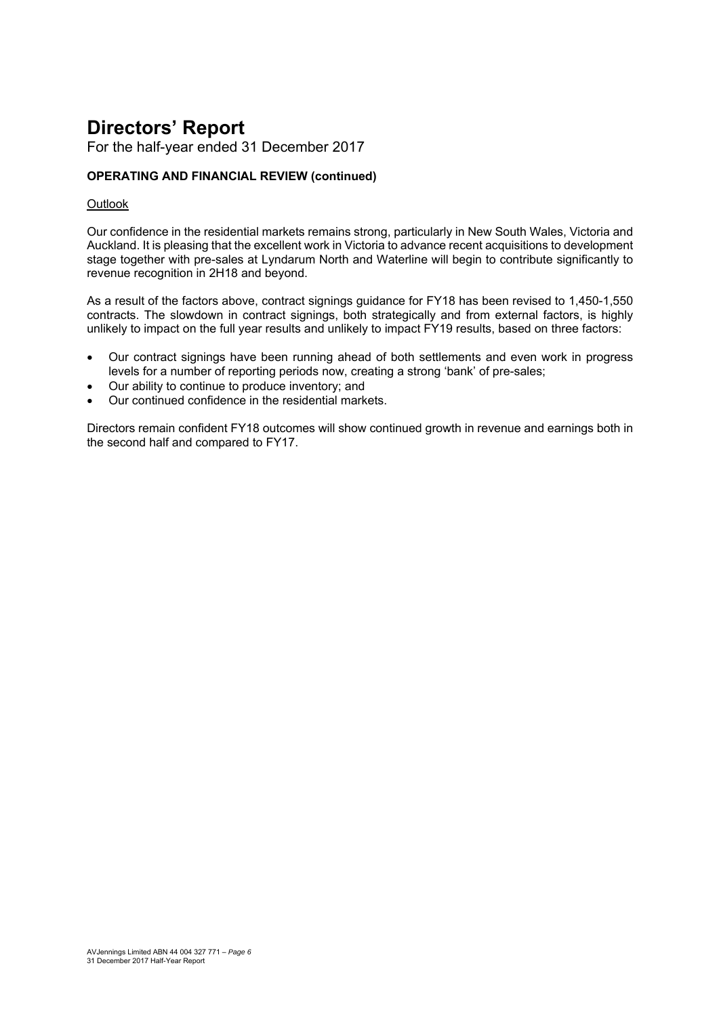For the half-year ended 31 December 2017

## **OPERATING AND FINANCIAL REVIEW (continued)**

#### **Outlook**

Our confidence in the residential markets remains strong, particularly in New South Wales, Victoria and Auckland. It is pleasing that the excellent work in Victoria to advance recent acquisitions to development stage together with pre-sales at Lyndarum North and Waterline will begin to contribute significantly to revenue recognition in 2H18 and beyond.

As a result of the factors above, contract signings guidance for FY18 has been revised to 1,450-1,550 contracts. The slowdown in contract signings, both strategically and from external factors, is highly unlikely to impact on the full year results and unlikely to impact FY19 results, based on three factors:

- Our contract signings have been running ahead of both settlements and even work in progress levels for a number of reporting periods now, creating a strong 'bank' of pre-sales;
- Our ability to continue to produce inventory; and
- Our continued confidence in the residential markets.

Directors remain confident FY18 outcomes will show continued growth in revenue and earnings both in the second half and compared to FY17.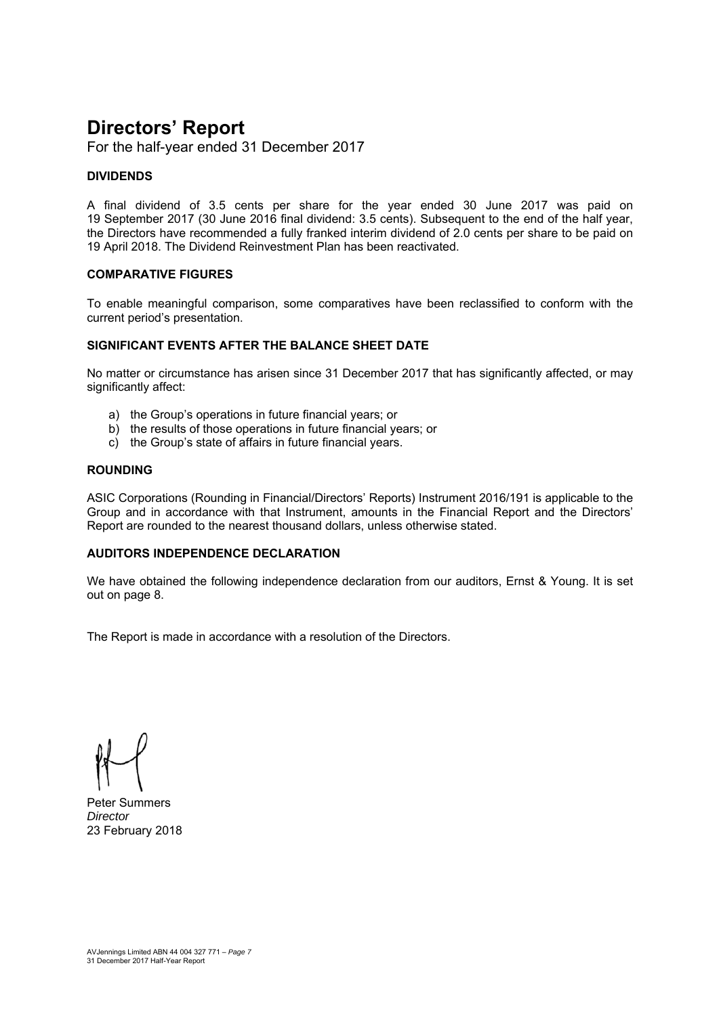For the half-year ended 31 December 2017

#### **DIVIDENDS**

A final dividend of 3.5 cents per share for the year ended 30 June 2017 was paid on 19 September 2017 (30 June 2016 final dividend: 3.5 cents). Subsequent to the end of the half year, the Directors have recommended a fully franked interim dividend of 2.0 cents per share to be paid on 19 April 2018. The Dividend Reinvestment Plan has been reactivated.

#### **COMPARATIVE FIGURES**

To enable meaningful comparison, some comparatives have been reclassified to conform with the current period's presentation.

#### **SIGNIFICANT EVENTS AFTER THE BALANCE SHEET DATE**

No matter or circumstance has arisen since 31 December 2017 that has significantly affected, or may significantly affect:

- a) the Group's operations in future financial years; or
- b) the results of those operations in future financial years; or
- c) the Group's state of affairs in future financial years.

#### **ROUNDING**

ASIC Corporations (Rounding in Financial/Directors' Reports) Instrument 2016/191 is applicable to the Group and in accordance with that Instrument, amounts in the Financial Report and the Directors' Report are rounded to the nearest thousand dollars, unless otherwise stated.

#### **AUDITORS INDEPENDENCE DECLARATION**

We have obtained the following independence declaration from our auditors, Ernst & Young. It is set out on page 8.

The Report is made in accordance with a resolution of the Directors.

Peter Summers *Director*  23 February 2018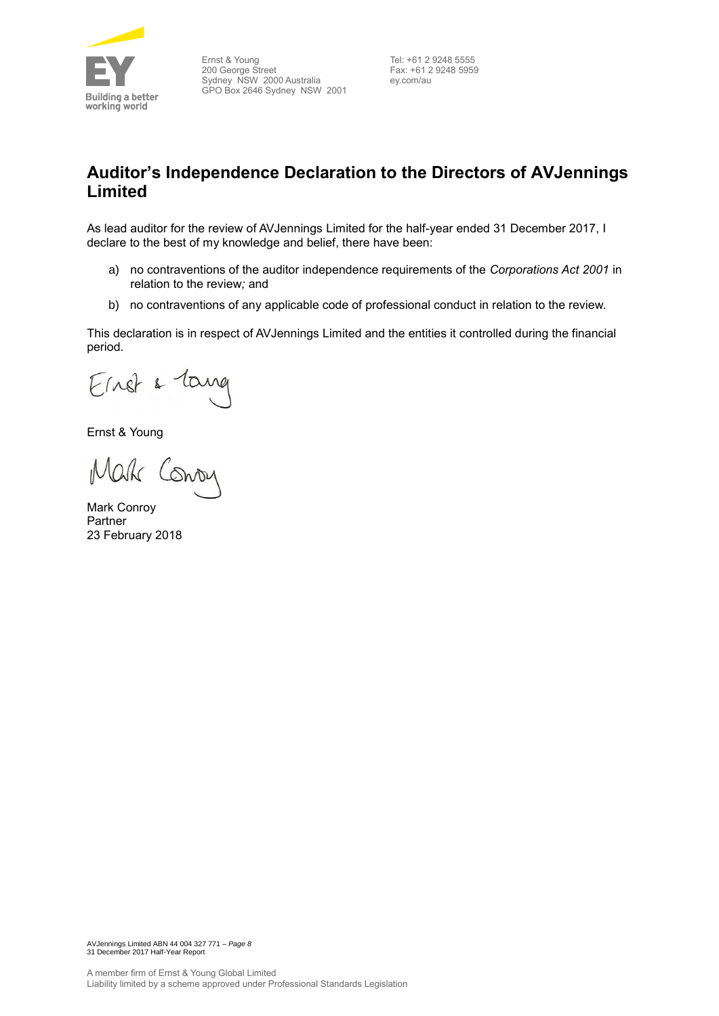

Ernst & Young 200 George Street Sydney NSW 2000 Australia GPO Box 2646 Sydney NSW 2001

Tel: +61 2 9248 5555 Fax: +61 2 9248 5959 ey.com/au

## **Auditor's Independence Declaration to the Directors of AVJennings Limited**

As lead auditor for the review of AVJennings Limited for the half-year ended 31 December 2017, I declare to the best of my knowledge and belief, there have been:

- a) no contraventions of the auditor independence requirements of the *Corporations Act 2001* in relation to the review*;* and
- b) no contraventions of any applicable code of professional conduct in relation to the review.

This declaration is in respect of AVJennings Limited and the entities it controlled during the financial period.

Einst & lang

Ernst & Young

Mark Conon

Mark Conroy Partner 23 February 2018

AVJennings Limited ABN 44 004 327 771 – *Page 8* 31 December 2017 Half-Year Report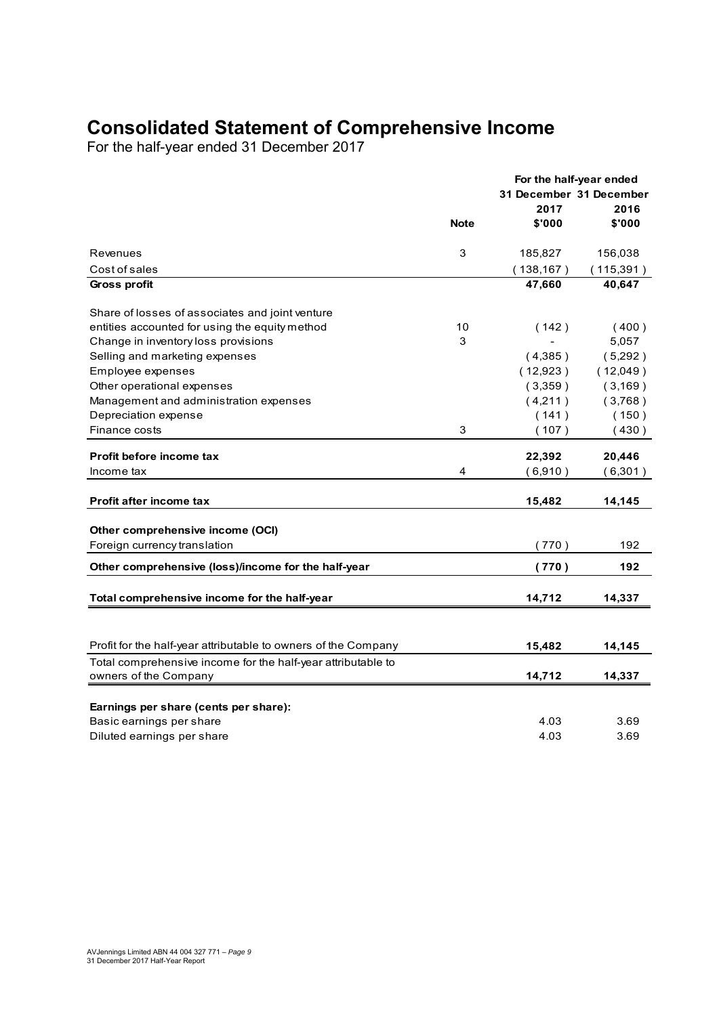## **Consolidated Statement of Comprehensive Income**

For the half-year ended 31 December 2017

|                                                                |             | For the half-year ended |            |
|----------------------------------------------------------------|-------------|-------------------------|------------|
|                                                                |             | 31 December 31 December |            |
|                                                                |             | 2017                    | 2016       |
|                                                                | <b>Note</b> | \$'000                  | \$'000     |
| Revenues                                                       | 3           | 185,827                 | 156,038    |
| Cost of sales                                                  |             | (138, 167)              | (115, 391) |
| <b>Gross profit</b>                                            |             | 47,660                  | 40,647     |
| Share of losses of associates and joint venture                |             |                         |            |
| entities accounted for using the equity method                 | 10          | (142)                   | (400)      |
| Change in inventory loss provisions                            | 3           |                         | 5,057      |
| Selling and marketing expenses                                 |             | (4,385)                 | (5,292)    |
| Employee expenses                                              |             | (12,923)                | (12,049)   |
| Other operational expenses                                     |             | (3,359)                 | (3, 169)   |
| Management and administration expenses                         |             | (4,211)                 | (3,768)    |
| Depreciation expense                                           |             | (141)                   | (150)      |
| Finance costs                                                  | 3           | (107)                   | (430)      |
| Profit before income tax                                       |             | 22,392                  | 20,446     |
| Income tax                                                     | 4           | (6,910)                 | (6,301)    |
|                                                                |             |                         |            |
| <b>Profit after income tax</b>                                 |             | 15,482                  | 14,145     |
| Other comprehensive income (OCI)                               |             |                         |            |
| Foreign currency translation                                   |             | (770)                   | 192        |
| Other comprehensive (loss)/income for the half-year            |             | (770)                   | 192        |
| Total comprehensive income for the half-year                   |             | 14,712                  | 14,337     |
|                                                                |             |                         |            |
| Profit for the half-year attributable to owners of the Company |             | 15,482                  | 14,145     |
| Total comprehensive income for the half-year attributable to   |             |                         |            |
| owners of the Company                                          |             | 14,712                  | 14,337     |
|                                                                |             |                         |            |
| Earnings per share (cents per share):                          |             |                         |            |
| Basic earnings per share                                       |             | 4.03                    | 3.69       |
| Diluted earnings per share                                     |             | 4.03                    | 3.69       |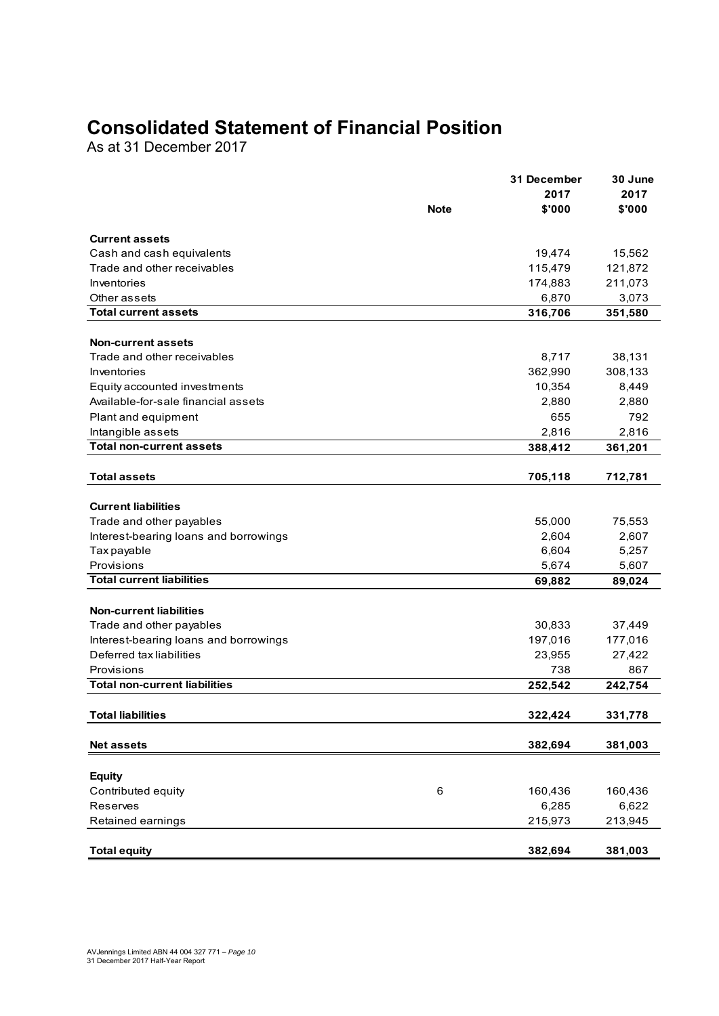## **Consolidated Statement of Financial Position**

As at 31 December 2017

|                                                                     |             | 31 December | 30 June |
|---------------------------------------------------------------------|-------------|-------------|---------|
|                                                                     |             | 2017        | 2017    |
|                                                                     | <b>Note</b> | \$'000      | \$'000  |
| <b>Current assets</b>                                               |             |             |         |
| Cash and cash equivalents                                           |             | 19,474      | 15,562  |
| Trade and other receivables                                         |             | 115,479     | 121,872 |
| Inventories                                                         |             | 174,883     | 211,073 |
| Other assets                                                        |             | 6,870       | 3,073   |
| <b>Total current assets</b>                                         |             | 316,706     | 351,580 |
|                                                                     |             |             |         |
| <b>Non-current assets</b><br>Trade and other receivables            |             | 8,717       | 38,131  |
| Inventories                                                         |             | 362,990     | 308,133 |
|                                                                     |             | 10,354      | 8,449   |
| Equity accounted investments<br>Available-for-sale financial assets |             | 2,880       | 2,880   |
|                                                                     |             | 655         | 792     |
| Plant and equipment<br>Intangible assets                            |             | 2,816       | 2,816   |
| <b>Total non-current assets</b>                                     |             | 388,412     | 361,201 |
|                                                                     |             |             |         |
| <b>Total assets</b>                                                 |             | 705,118     | 712,781 |
|                                                                     |             |             |         |
| <b>Current liabilities</b>                                          |             |             |         |
| Trade and other payables                                            |             | 55,000      | 75,553  |
| Interest-bearing loans and borrowings                               |             | 2,604       | 2,607   |
| Tax payable                                                         |             | 6,604       | 5,257   |
| Provisions                                                          |             | 5,674       | 5,607   |
| <b>Total current liabilities</b>                                    |             | 69,882      | 89,024  |
| <b>Non-current liabilities</b>                                      |             |             |         |
| Trade and other payables                                            |             | 30,833      | 37,449  |
| Interest-bearing loans and borrowings                               |             | 197,016     | 177,016 |
| Deferred tax liabilities                                            |             | 23,955      | 27,422  |
| Provisions                                                          |             | 738         | 867     |
| <b>Total non-current liabilities</b>                                |             | 252,542     | 242,754 |
|                                                                     |             |             |         |
| <b>Total liabilities</b>                                            |             | 322,424     | 331,778 |
| <b>Net assets</b>                                                   |             | 382,694     | 381,003 |
|                                                                     |             |             |         |
| <b>Equity</b>                                                       |             |             |         |
| Contributed equity                                                  | 6           | 160,436     | 160,436 |
| Reserves                                                            |             | 6,285       | 6,622   |
| Retained earnings                                                   |             | 215,973     | 213,945 |
|                                                                     |             |             |         |
| <b>Total equity</b>                                                 |             | 382,694     | 381,003 |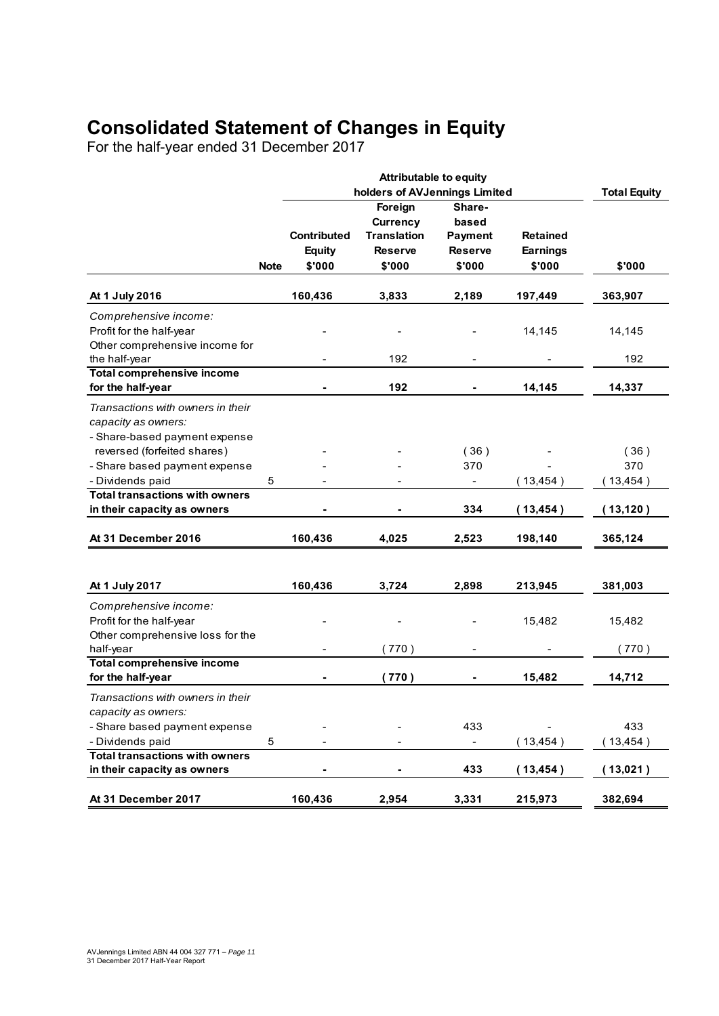## **Consolidated Statement of Changes in Equity**

For the half-year ended 31 December 2017

|                                       |             |                    | <b>Attributable to equity</b> |                |                 |                     |
|---------------------------------------|-------------|--------------------|-------------------------------|----------------|-----------------|---------------------|
|                                       |             |                    | holders of AVJennings Limited |                |                 | <b>Total Equity</b> |
|                                       |             |                    | Foreign                       | Share-         |                 |                     |
|                                       |             |                    | <b>Currency</b>               | based          |                 |                     |
|                                       |             | <b>Contributed</b> | <b>Translation</b>            | <b>Payment</b> | <b>Retained</b> |                     |
|                                       |             | <b>Equity</b>      | <b>Reserve</b>                | <b>Reserve</b> | <b>Earnings</b> |                     |
|                                       | <b>Note</b> | \$'000             | \$'000                        | \$'000         | \$'000          | \$'000              |
| At 1 July 2016                        |             | 160,436            | 3,833                         | 2,189          | 197,449         | 363,907             |
| Comprehensive income:                 |             |                    |                               |                |                 |                     |
| Profit for the half-year              |             |                    |                               |                | 14,145          | 14,145              |
| Other comprehensive income for        |             |                    |                               |                |                 |                     |
| the half-year                         |             |                    | 192                           |                |                 | 192                 |
| <b>Total comprehensive income</b>     |             |                    |                               |                |                 |                     |
| for the half-year                     |             |                    | 192                           |                | 14,145          | 14,337              |
| Transactions with owners in their     |             |                    |                               |                |                 |                     |
| capacity as owners:                   |             |                    |                               |                |                 |                     |
| - Share-based payment expense         |             |                    |                               |                |                 |                     |
| reversed (forfeited shares)           |             |                    |                               | (36)           |                 | (36)                |
| - Share based payment expense         |             |                    |                               | 370            |                 | 370                 |
| - Dividends paid                      | 5           |                    |                               | $\blacksquare$ | (13, 454)       | (13, 454)           |
| <b>Total transactions with owners</b> |             |                    |                               |                |                 |                     |
| in their capacity as owners           |             |                    |                               | 334            | (13, 454)       | (13, 120)           |
| At 31 December 2016                   |             | 160,436            | 4,025                         | 2,523          | 198,140         | 365,124             |
|                                       |             |                    |                               |                |                 |                     |
| At 1 July 2017                        |             | 160,436            | 3,724                         | 2,898          | 213,945         | 381,003             |
| Comprehensive income:                 |             |                    |                               |                |                 |                     |
| Profit for the half-year              |             |                    |                               |                | 15,482          | 15,482              |
| Other comprehensive loss for the      |             |                    |                               |                |                 |                     |
| half-year                             |             |                    | (770)                         |                |                 | (770)               |
| <b>Total comprehensive income</b>     |             |                    |                               |                |                 |                     |
| for the half-year                     |             | -                  | (770)                         |                | 15,482          | 14,712              |
| Transactions with owners in their     |             |                    |                               |                |                 |                     |
| capacity as owners:                   |             |                    |                               |                |                 |                     |
| - Share based payment expense         |             |                    |                               | 433            |                 | 433                 |
| - Dividends paid                      | 5           |                    |                               |                | (13, 454)       | (13, 454)           |
| <b>Total transactions with owners</b> |             |                    |                               |                |                 |                     |
| in their capacity as owners           |             |                    |                               | 433            | (13, 454)       | (13,021)            |
| At 31 December 2017                   |             |                    |                               |                |                 |                     |
|                                       |             | 160,436            | 2,954                         | 3,331          | 215,973         | 382,694             |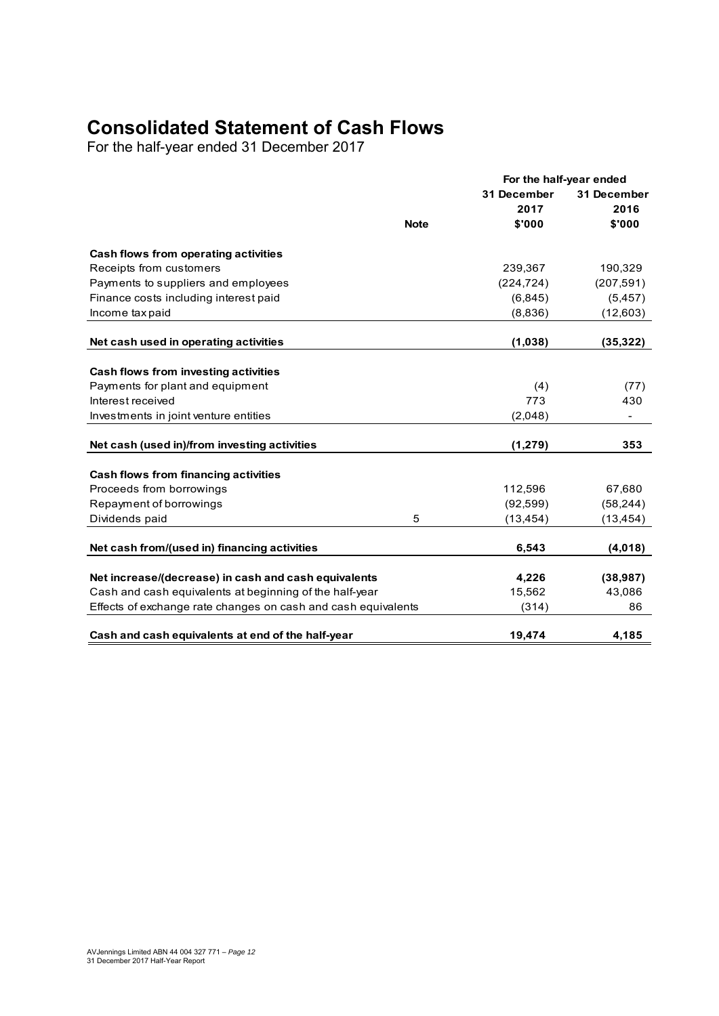## **Consolidated Statement of Cash Flows**

For the half-year ended 31 December 2017

|                                                                                                                 |             | For the half-year ended |              |
|-----------------------------------------------------------------------------------------------------------------|-------------|-------------------------|--------------|
|                                                                                                                 |             | 31 December             | 31 December  |
|                                                                                                                 |             | 2017                    | 2016         |
|                                                                                                                 | <b>Note</b> | \$'000                  | \$'000       |
| Cash flows from operating activities                                                                            |             |                         |              |
| Receipts from customers                                                                                         |             | 239,367                 | 190,329      |
| Payments to suppliers and employees                                                                             |             | (224, 724)              | (207, 591)   |
| Finance costs including interest paid                                                                           |             | (6, 845)                | (5, 457)     |
| Income tax paid                                                                                                 |             | (8,836)                 | (12,603)     |
| Net cash used in operating activities                                                                           |             | (1,038)                 | (35, 322)    |
|                                                                                                                 |             |                         |              |
| Cash flows from investing activities                                                                            |             |                         |              |
| Payments for plant and equipment                                                                                |             | (4)                     | (77)         |
| Interest received                                                                                               |             | 773                     | 430          |
| Investments in joint venture entities                                                                           |             | (2,048)                 |              |
| Net cash (used in)/from investing activities                                                                    |             | (1, 279)                | 353          |
| Cash flows from financing activities                                                                            |             |                         |              |
| Proceeds from borrowings                                                                                        |             | 112,596                 | 67,680       |
| Repayment of borrowings                                                                                         |             | (92, 599)               | (58, 244)    |
| Dividends paid                                                                                                  | 5           | (13, 454)               | (13,454)     |
| Net cash from/(used in) financing activities                                                                    |             | 6,543                   | (4,018)      |
|                                                                                                                 |             |                         |              |
| Net increase/(decrease) in cash and cash equivalents<br>Cash and cash equivalents at beginning of the half-year |             | 4,226                   | (38, 987)    |
|                                                                                                                 |             | 15,562                  | 43,086<br>86 |
| Effects of exchange rate changes on cash and cash equivalents                                                   |             | (314)                   |              |
| Cash and cash equivalents at end of the half-year                                                               |             | 19,474                  | 4,185        |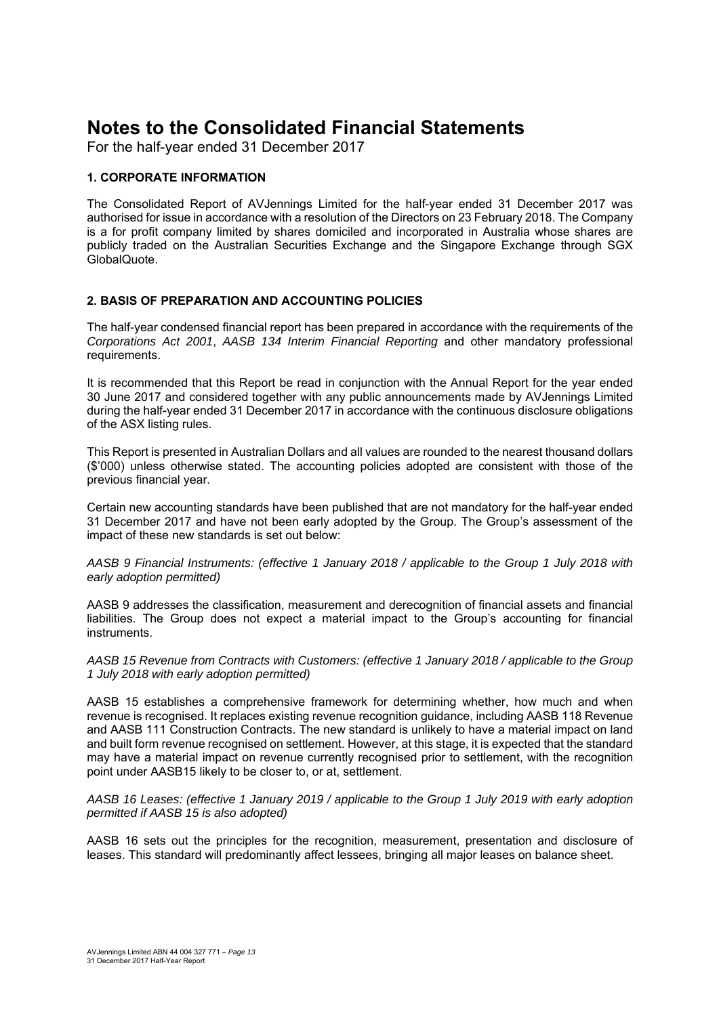For the half-year ended 31 December 2017

#### **1. CORPORATE INFORMATION**

The Consolidated Report of AVJennings Limited for the half-year ended 31 December 2017 was authorised for issue in accordance with a resolution of the Directors on 23 February 2018. The Company is a for profit company limited by shares domiciled and incorporated in Australia whose shares are publicly traded on the Australian Securities Exchange and the Singapore Exchange through SGX GlobalQuote.

#### **2. BASIS OF PREPARATION AND ACCOUNTING POLICIES**

The half-year condensed financial report has been prepared in accordance with the requirements of the *Corporations Act 2001*, *AASB 134 Interim Financial Reporting* and other mandatory professional requirements.

It is recommended that this Report be read in conjunction with the Annual Report for the year ended 30 June 2017 and considered together with any public announcements made by AVJennings Limited during the half-year ended 31 December 2017 in accordance with the continuous disclosure obligations of the ASX listing rules.

This Report is presented in Australian Dollars and all values are rounded to the nearest thousand dollars (\$'000) unless otherwise stated. The accounting policies adopted are consistent with those of the previous financial year.

Certain new accounting standards have been published that are not mandatory for the half-year ended 31 December 2017 and have not been early adopted by the Group. The Group's assessment of the impact of these new standards is set out below:

#### *AASB 9 Financial Instruments: (effective 1 January 2018 / applicable to the Group 1 July 2018 with early adoption permitted)*

AASB 9 addresses the classification, measurement and derecognition of financial assets and financial liabilities. The Group does not expect a material impact to the Group's accounting for financial instruments.

*AASB 15 Revenue from Contracts with Customers: (effective 1 January 2018 / applicable to the Group 1 July 2018 with early adoption permitted)* 

AASB 15 establishes a comprehensive framework for determining whether, how much and when revenue is recognised. It replaces existing revenue recognition guidance, including AASB 118 Revenue and AASB 111 Construction Contracts. The new standard is unlikely to have a material impact on land and built form revenue recognised on settlement. However, at this stage, it is expected that the standard may have a material impact on revenue currently recognised prior to settlement, with the recognition point under AASB15 likely to be closer to, or at, settlement.

*AASB 16 Leases: (effective 1 January 2019 / applicable to the Group 1 July 2019 with early adoption permitted if AASB 15 is also adopted)* 

AASB 16 sets out the principles for the recognition, measurement, presentation and disclosure of leases. This standard will predominantly affect lessees, bringing all major leases on balance sheet.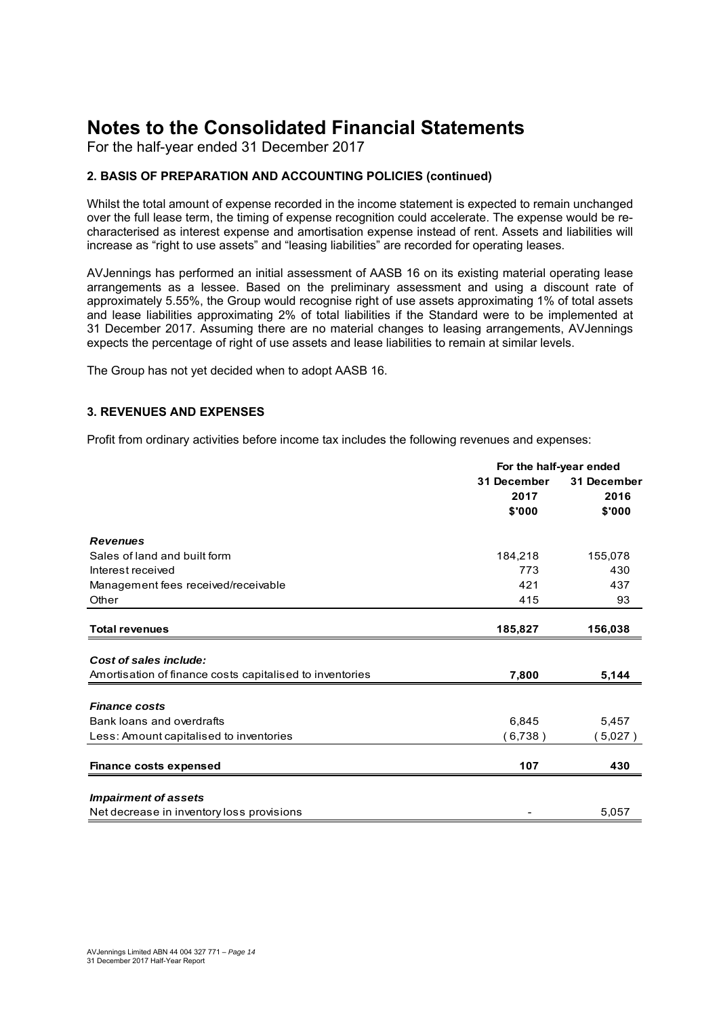For the half-year ended 31 December 2017

## **2. BASIS OF PREPARATION AND ACCOUNTING POLICIES (continued)**

Whilst the total amount of expense recorded in the income statement is expected to remain unchanged over the full lease term, the timing of expense recognition could accelerate. The expense would be recharacterised as interest expense and amortisation expense instead of rent. Assets and liabilities will increase as "right to use assets" and "leasing liabilities" are recorded for operating leases.

AVJennings has performed an initial assessment of AASB 16 on its existing material operating lease arrangements as a lessee. Based on the preliminary assessment and using a discount rate of approximately 5.55%, the Group would recognise right of use assets approximating 1% of total assets and lease liabilities approximating 2% of total liabilities if the Standard were to be implemented at 31 December 2017. Assuming there are no material changes to leasing arrangements, AVJennings expects the percentage of right of use assets and lease liabilities to remain at similar levels.

The Group has not yet decided when to adopt AASB 16.

## **3. REVENUES AND EXPENSES**

Profit from ordinary activities before income tax includes the following revenues and expenses:

|                                                          | For the half-year ended |             |
|----------------------------------------------------------|-------------------------|-------------|
|                                                          | 31 December             | 31 December |
|                                                          | 2017                    | 2016        |
|                                                          | \$'000                  | \$'000      |
| <b>Revenues</b>                                          |                         |             |
| Sales of land and built form                             | 184,218                 | 155,078     |
| Interest received                                        | 773                     | 430         |
| Management fees received/receivable                      | 421                     | 437         |
| Other                                                    | 415                     | 93          |
| <b>Total revenues</b>                                    | 185,827                 | 156,038     |
|                                                          |                         |             |
| Cost of sales include:                                   |                         |             |
| Amortisation of finance costs capitalised to inventories | 7,800                   | 5,144       |
| <b>Finance costs</b>                                     |                         |             |
| Bank loans and overdrafts                                | 6,845                   | 5,457       |
| Less: Amount capitalised to inventories                  | (6,738)                 | (5,027)     |
| <b>Finance costs expensed</b>                            | 107                     | 430         |
|                                                          |                         |             |
| <b>Impairment of assets</b>                              |                         |             |
| Net decrease in inventory loss provisions                |                         | 5,057       |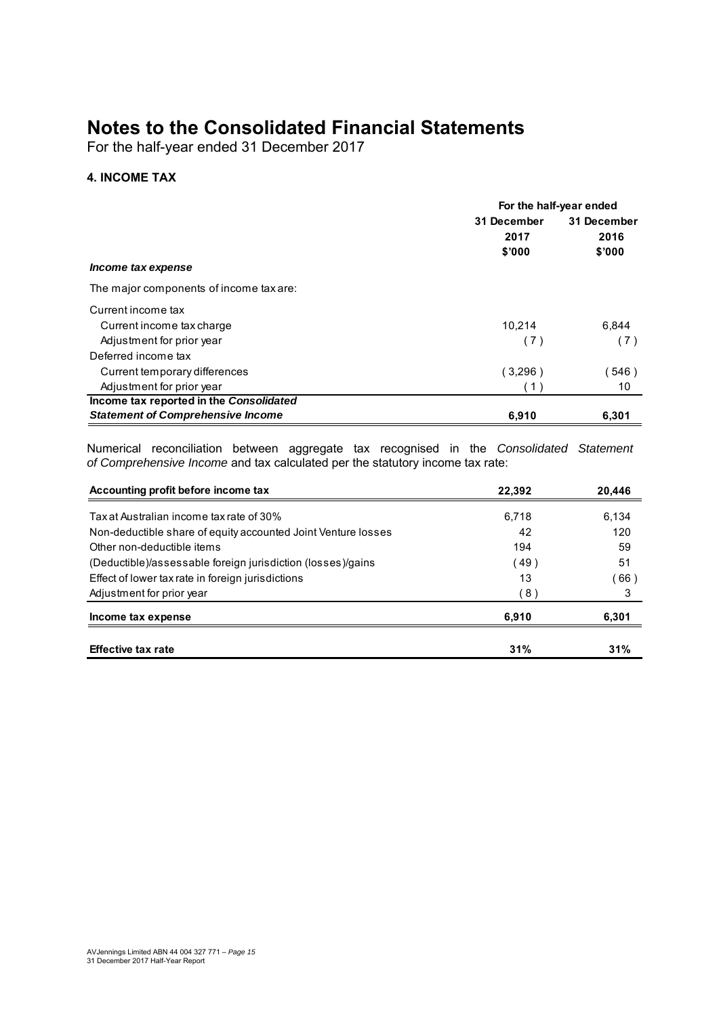For the half-year ended 31 December 2017

## **4. INCOME TAX**

|                                          | For the half-year ended |             |
|------------------------------------------|-------------------------|-------------|
|                                          | 31 December             | 31 December |
|                                          | 2017                    | 2016        |
|                                          | \$'000                  | \$'000      |
| Income tax expense                       |                         |             |
| The major components of income tax are:  |                         |             |
| Current income tax                       |                         |             |
| Current income tax charge                | 10,214                  | 6,844       |
| Adjustment for prior year                | (7)                     | (7)         |
| Deferred income tax                      |                         |             |
| Current temporary differences            | (3,296)                 | (546)       |
| Adjustment for prior year                | (1)                     | 10          |
| Income tax reported in the Consolidated  |                         |             |
| <b>Statement of Comprehensive Income</b> | 6,910                   | 6,301       |

Numerical reconciliation between aggregate tax recognised in the *Consolidated Statement of Comprehensive Income* and tax calculated per the statutory income tax rate:

| Accounting profit before income tax                           | 22,392 | 20,446 |
|---------------------------------------------------------------|--------|--------|
| Tax at Australian income tax rate of 30%                      | 6.718  | 6.134  |
| Non-deductible share of equity accounted Joint Venture losses | 42     | 120    |
| Other non-deductible items                                    | 194    | 59     |
| (Deductible)/assessable foreign jurisdiction (losses)/gains   | 49)    | 51     |
| Effect of lower tax rate in foreign jurisdictions             | 13     | (66)   |
| Adjustment for prior year                                     | (8)    | 3      |
| Income tax expense                                            | 6,910  | 6,301  |
| <b>Effective tax rate</b>                                     | 31%    | 31%    |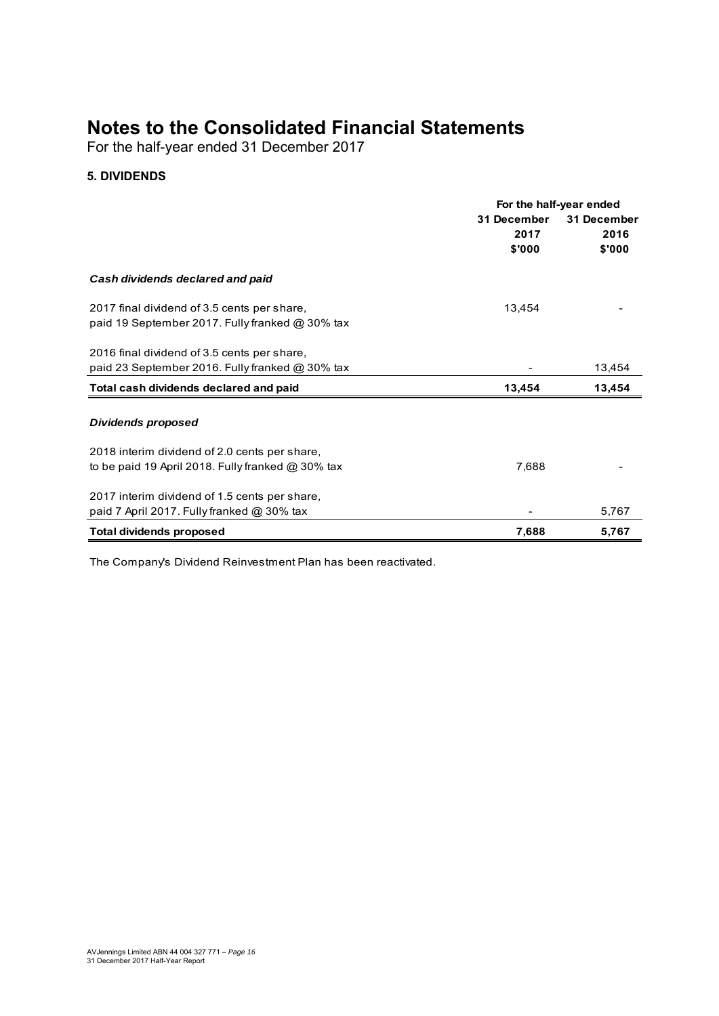For the half-year ended 31 December 2017

## **5. DIVIDENDS**

|                                                          | For the half-year ended |             |
|----------------------------------------------------------|-------------------------|-------------|
|                                                          | 31 December             | 31 December |
|                                                          | 2017                    | 2016        |
|                                                          | \$'000                  | \$'000      |
| Cash dividends declared and paid                         |                         |             |
| 2017 final dividend of 3.5 cents per share,              | 13,454                  |             |
| paid 19 September 2017. Fully franked @ 30% tax          |                         |             |
| 2016 final dividend of 3.5 cents per share,              |                         |             |
| paid 23 September 2016. Fully franked @ 30% tax          |                         | 13,454      |
| Total cash dividends declared and paid                   | 13,454                  | 13,454      |
| Dividends proposed                                       |                         |             |
| 2018 interim dividend of 2.0 cents per share,            |                         |             |
| to be paid 19 April 2018. Fully franked $\omega$ 30% tax | 7,688                   |             |
| 2017 interim dividend of 1.5 cents per share,            |                         |             |
| paid 7 April 2017. Fully franked @ 30% tax               |                         | 5,767       |
| <b>Total dividends proposed</b>                          | 7,688                   | 5,767       |

The Company's Dividend Reinvestment Plan has been reactivated.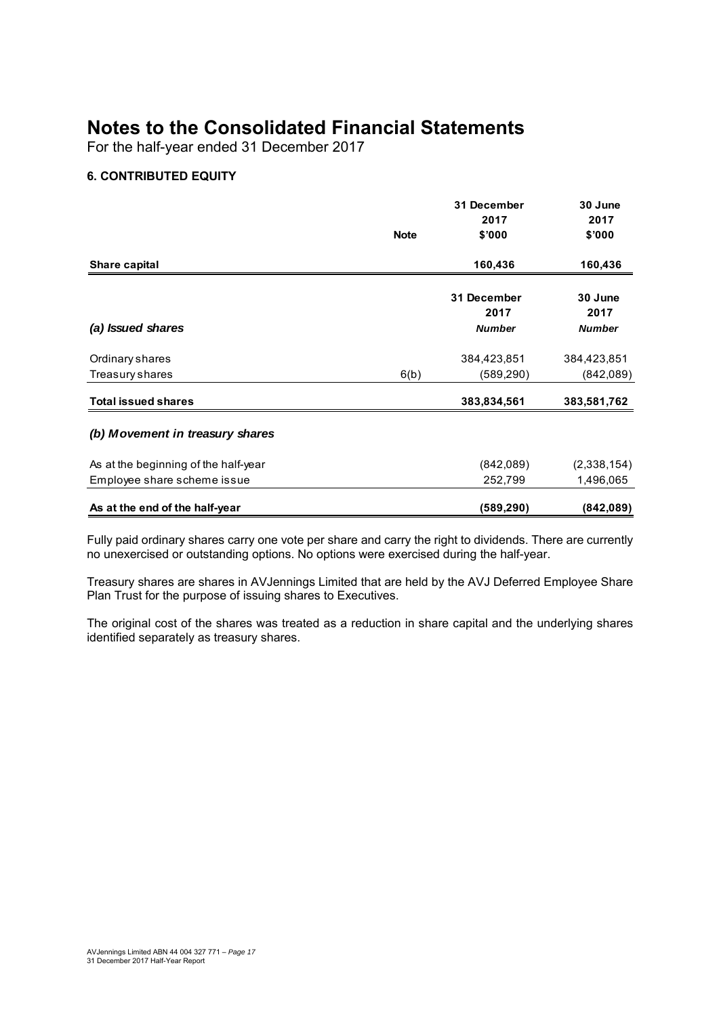For the half-year ended 31 December 2017

## **6. CONTRIBUTED EQUITY**

|                                      |             | 31 December         | 30 June         |  |
|--------------------------------------|-------------|---------------------|-----------------|--|
|                                      |             | 2017                | 2017            |  |
|                                      | <b>Note</b> | \$'000              | \$'000          |  |
| Share capital                        |             | 160,436             | 160,436         |  |
|                                      |             | 31 December<br>2017 | 30 June<br>2017 |  |
| (a) Issued shares                    |             | <b>Number</b>       | <b>Number</b>   |  |
| Ordinary shares                      |             | 384,423,851         | 384,423,851     |  |
| Treasury shares                      | 6(b)        | (589, 290)          | (842,089)       |  |
| <b>Total issued shares</b>           |             | 383,834,561         | 383,581,762     |  |
| (b) Movement in treasury shares      |             |                     |                 |  |
| As at the beginning of the half-year |             | (842,089)           | (2,338,154)     |  |
| Employee share scheme issue          |             | 252,799             | 1,496,065       |  |
| As at the end of the half-year       |             | (589,290)           | (842,089)       |  |

Fully paid ordinary shares carry one vote per share and carry the right to dividends. There are currently no unexercised or outstanding options. No options were exercised during the half-year.

Treasury shares are shares in AVJennings Limited that are held by the AVJ Deferred Employee Share Plan Trust for the purpose of issuing shares to Executives.

The original cost of the shares was treated as a reduction in share capital and the underlying shares identified separately as treasury shares.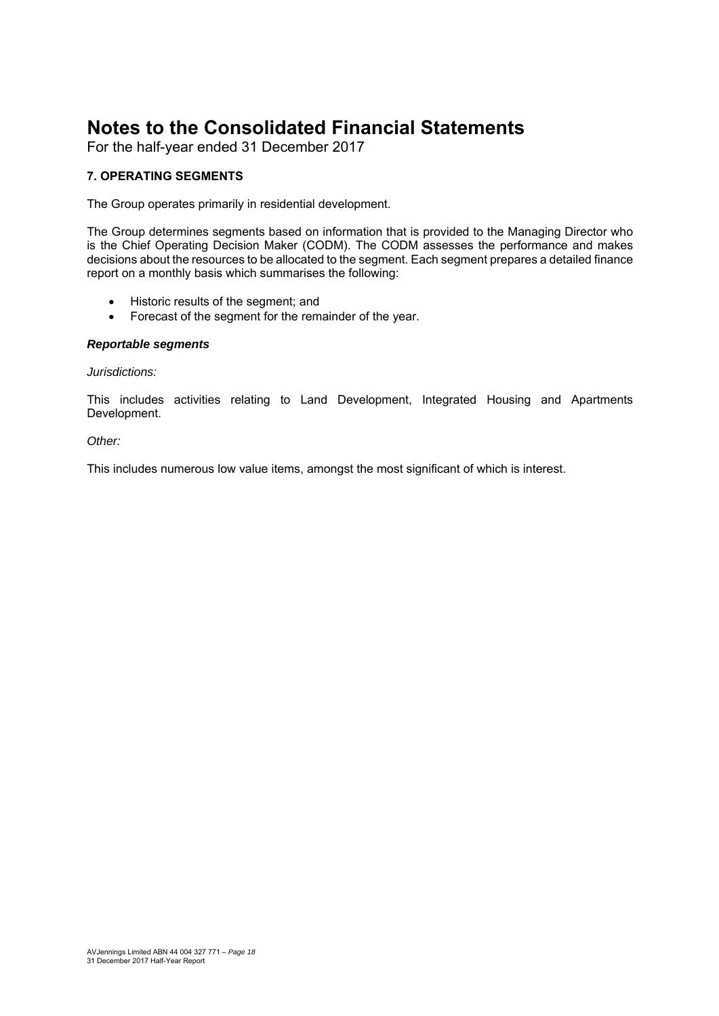For the half-year ended 31 December 2017

## **7. OPERATING SEGMENTS**

The Group operates primarily in residential development.

The Group determines segments based on information that is provided to the Managing Director who is the Chief Operating Decision Maker (CODM). The CODM assesses the performance and makes decisions about the resources to be allocated to the segment. Each segment prepares a detailed finance report on a monthly basis which summarises the following:

- Historic results of the seament: and
- Forecast of the segment for the remainder of the year.

#### *Reportable segments*

#### *Jurisdictions:*

This includes activities relating to Land Development, Integrated Housing and Apartments Development.

#### *Other:*

This includes numerous low value items, amongst the most significant of which is interest.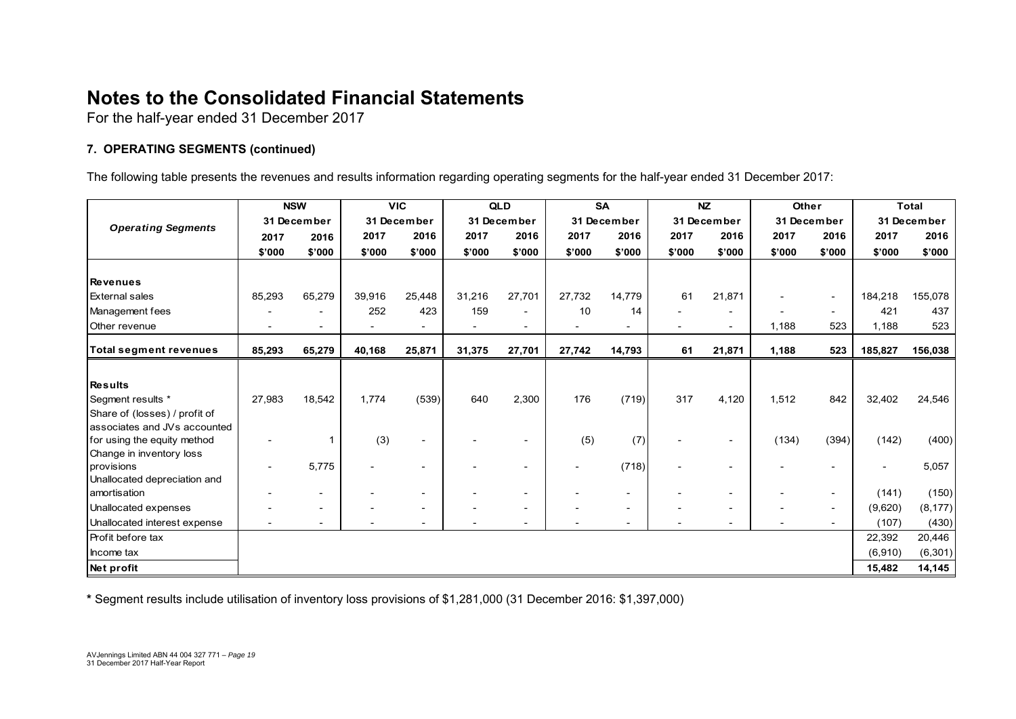For the half-year ended 31 December 2017

## **7. OPERATING SEGMENTS (continued)**

The following table presents the revenues and results information regarding operating segments for the half-year ended 31 December 2017:

|                               | <b>NSW</b> |                          | <b>VIC</b> |             | QLD    |             | <b>SA</b> |                          | <b>NZ</b> |             | Other  |                          | <b>Total</b>             |             |
|-------------------------------|------------|--------------------------|------------|-------------|--------|-------------|-----------|--------------------------|-----------|-------------|--------|--------------------------|--------------------------|-------------|
| <b>Operating Segments</b>     |            | 31 December              |            | 31 December |        | 31 December |           | 31 December              |           | 31 December |        | 31 December              |                          | 31 December |
|                               | 2017       | 2016                     | 2017       | 2016        | 2017   | 2016        | 2017      | 2016                     | 2017      | 2016        | 2017   | 2016                     | 2017                     | 2016        |
|                               | \$'000     | \$'000                   | \$'000     | \$'000      | \$'000 | \$'000      | \$'000    | \$'000                   | \$'000    | \$'000      | \$'000 | \$'000                   | \$'000                   | \$'000      |
|                               |            |                          |            |             |        |             |           |                          |           |             |        |                          |                          |             |
| <b>Revenues</b>               |            |                          |            |             |        |             |           |                          |           |             |        |                          |                          |             |
| <b>External sales</b>         | 85,293     | 65,279                   | 39.916     | 25.448      | 31,216 | 27.701      | 27,732    | 14.779                   | 61        | 21,871      |        | $\overline{\phantom{a}}$ | 184,218                  | 155,078     |
| Management fees               |            | $\overline{\phantom{0}}$ | 252        | 423         | 159    |             | 10        | 14                       |           |             |        | $\overline{\phantom{a}}$ | 421                      | 437         |
| Other revenue                 |            | $\overline{\phantom{0}}$ |            |             |        |             |           |                          |           |             | 1,188  | 523                      | 1,188                    | 523         |
| <b>Total segment revenues</b> | 85,293     | 65,279                   | 40,168     | 25,871      | 31,375 | 27,701      | 27,742    | 14,793                   | 61        | 21,871      | 1,188  | 523                      | 185,827                  | 156,038     |
|                               |            |                          |            |             |        |             |           |                          |           |             |        |                          |                          |             |
| <b>Results</b>                |            |                          |            |             |        |             |           |                          |           |             |        |                          |                          |             |
| Segment results *             | 27,983     | 18,542                   | 1,774      | (539)       | 640    | 2,300       | 176       | (719)                    | 317       | 4,120       | 1,512  | 842                      | 32,402                   | 24,546      |
| Share of (losses) / profit of |            |                          |            |             |        |             |           |                          |           |             |        |                          |                          |             |
| associates and JVs accounted  |            |                          |            |             |        |             |           |                          |           |             |        |                          |                          |             |
| for using the equity method   |            |                          | (3)        |             |        |             | (5)       | (7)                      |           |             | (134)  | (394)                    | (142)                    | (400)       |
| Change in inventory loss      |            |                          |            |             |        |             |           |                          |           |             |        |                          |                          |             |
| provisions                    |            | 5,775                    |            |             |        |             |           | (718)                    |           |             |        |                          | $\overline{\phantom{a}}$ | 5,057       |
| Unallocated depreciation and  |            |                          |            |             |        |             |           |                          |           |             |        |                          |                          |             |
| amortisation                  |            | $\overline{\phantom{0}}$ |            |             |        |             |           | $\overline{\phantom{0}}$ |           |             |        | $\overline{\phantom{a}}$ | (141)                    | (150)       |
| Unallocated expenses          |            | $\overline{\phantom{a}}$ |            |             |        |             |           | $\overline{\phantom{a}}$ |           |             |        | $\overline{\phantom{a}}$ | (9,620)                  | (8, 177)    |
| Unallocated interest expense  |            | $\overline{\phantom{a}}$ |            |             |        |             |           |                          |           |             |        | $\overline{\phantom{a}}$ | (107)                    | (430)       |
| Profit before tax             |            |                          |            |             |        |             |           |                          |           |             |        |                          | 22,392                   | 20,446      |
| Income tax                    |            |                          |            |             |        |             |           |                          |           |             |        |                          | (6,910)                  | (6, 301)    |
| Net profit                    |            |                          |            |             |        |             |           |                          |           |             |        |                          | 15,482                   | 14,145      |

**\*** Segment results include utilisation of inventory loss provisions of \$1,281,000 (31 December 2016: \$1,397,000)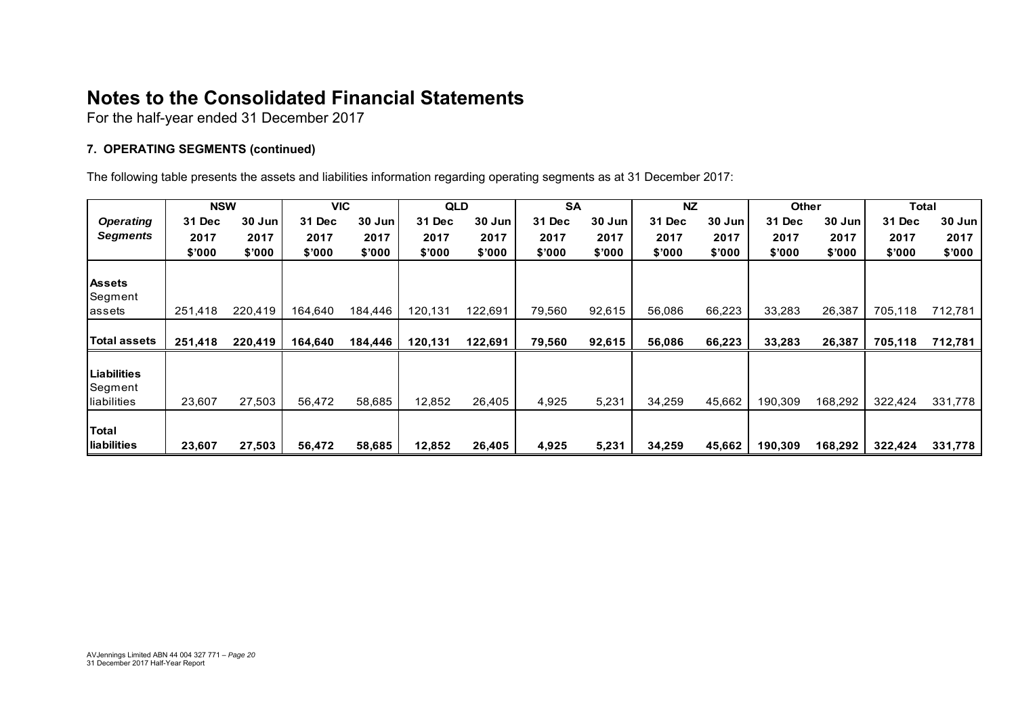For the half-year ended 31 December 2017

## **7. OPERATING SEGMENTS (continued)**

The following table presents the assets and liabilities information regarding operating segments as at 31 December 2017:

|                    | <b>NSW</b> |         | <b>VIC</b> |         | <b>QLD</b> |         | <b>SA</b> |        | <b>NZ</b> |        | <b>Other</b>  |         | Total   |         |
|--------------------|------------|---------|------------|---------|------------|---------|-----------|--------|-----------|--------|---------------|---------|---------|---------|
| <b>Operating</b>   | 31 Dec     | 30 Jun  | 31 Dec     | 30 Jun  | 31 Dec     | 30 Jun  | 31 Dec    | 30 Jun | 31 Dec    | 30 Jun | <b>31 Dec</b> | 30 Jun  | 31 Dec  | 30 Jun  |
| Segments           | 2017       | 2017    | 2017       | 2017    | 2017       | 2017    | 2017      | 2017   | 2017      | 2017   | 2017          | 2017    | 2017    | 2017    |
|                    | \$'000     | \$'000  | \$'000     | \$'000  | \$'000     | \$'000  | \$'000    | \$'000 | \$'000    | \$'000 | \$'000        | \$'000  | \$'000  | \$'000  |
|                    |            |         |            |         |            |         |           |        |           |        |               |         |         |         |
| <b>Assets</b>      |            |         |            |         |            |         |           |        |           |        |               |         |         |         |
| Segment            |            |         |            |         |            |         |           |        |           |        |               |         |         |         |
| lassets            | 251,418    | 220,419 | 164,640    | 184,446 | 120,131    | 122,691 | 79,560    | 92,615 | 56,086    | 66,223 | 33,283        | 26,387  | 705,118 | 712,781 |
|                    |            |         |            |         |            |         |           |        |           |        |               |         |         |         |
| Total assets       | 251,418    | 220,419 | 164,640    | 184,446 | 120,131    | 122,691 | 79,560    | 92,615 | 56,086    | 66,223 | 33,283        | 26,387  | 705,118 | 712,781 |
|                    |            |         |            |         |            |         |           |        |           |        |               |         |         |         |
| <b>Liabilities</b> |            |         |            |         |            |         |           |        |           |        |               |         |         |         |
| Segment            |            |         |            |         |            |         |           |        |           |        |               |         |         |         |
| lliabilities       | 23,607     | 27,503  | 56,472     | 58,685  | 12,852     | 26,405  | 4,925     | 5,231  | 34,259    | 45,662 | 190,309       | 168,292 | 322,424 | 331,778 |
|                    |            |         |            |         |            |         |           |        |           |        |               |         |         |         |
| Total              |            |         |            |         |            |         |           |        |           |        |               |         |         |         |
| lliabilities       | 23,607     | 27,503  | 56,472     | 58,685  | 12,852     | 26,405  | 4,925     | 5,231  | 34,259    | 45,662 | 190,309       | 168,292 | 322,424 | 331,778 |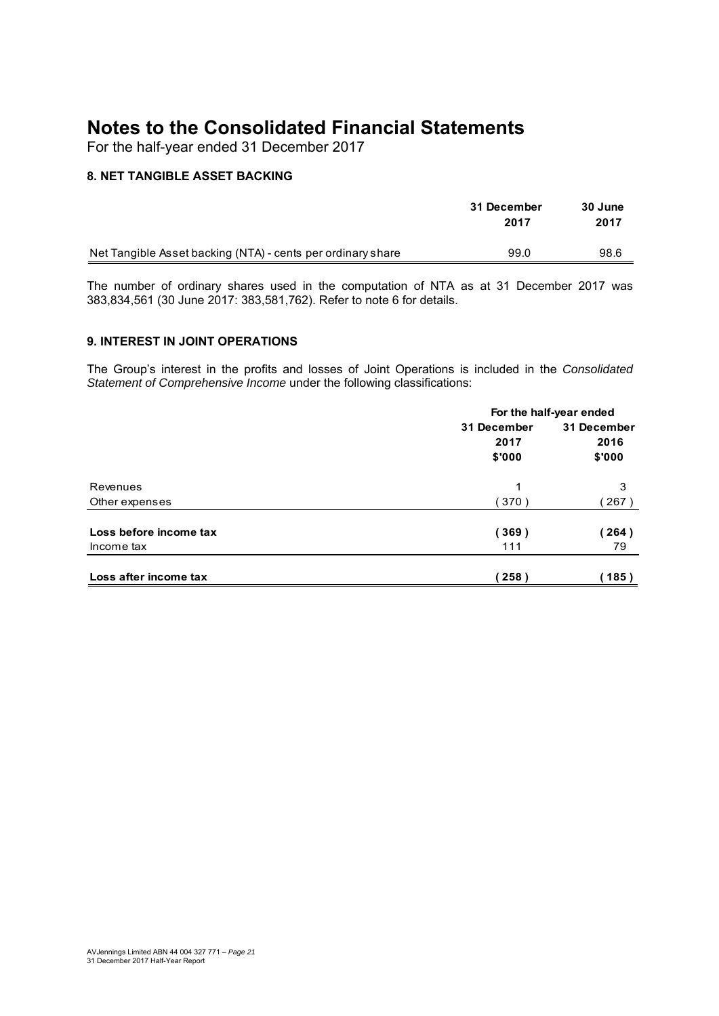For the half-year ended 31 December 2017

## **8. NET TANGIBLE ASSET BACKING**

|                                                             | 31 December<br>2017 | 30 June<br>2017 |
|-------------------------------------------------------------|---------------------|-----------------|
| Net Tangible Asset backing (NTA) - cents per ordinary share | 99.0                | 98.6            |

The number of ordinary shares used in the computation of NTA as at 31 December 2017 was 383,834,561 (30 June 2017: 383,581,762). Refer to note 6 for details.

## **9. INTEREST IN JOINT OPERATIONS**

The Group's interest in the profits and losses of Joint Operations is included in the *Consolidated Statement of Comprehensive Income* under the following classifications:

|                        |             | For the half-year ended |
|------------------------|-------------|-------------------------|
|                        | 31 December | 31 December             |
|                        | 2017        | 2016                    |
|                        | \$'000      | \$'000                  |
| Revenues               | 1           | 3                       |
| Other expenses         | (370)       | 267)                    |
| Loss before income tax | (369)       | 264)                    |
| Income tax             | 111         | 79                      |
| Loss after income tax  | 258)        | 185)                    |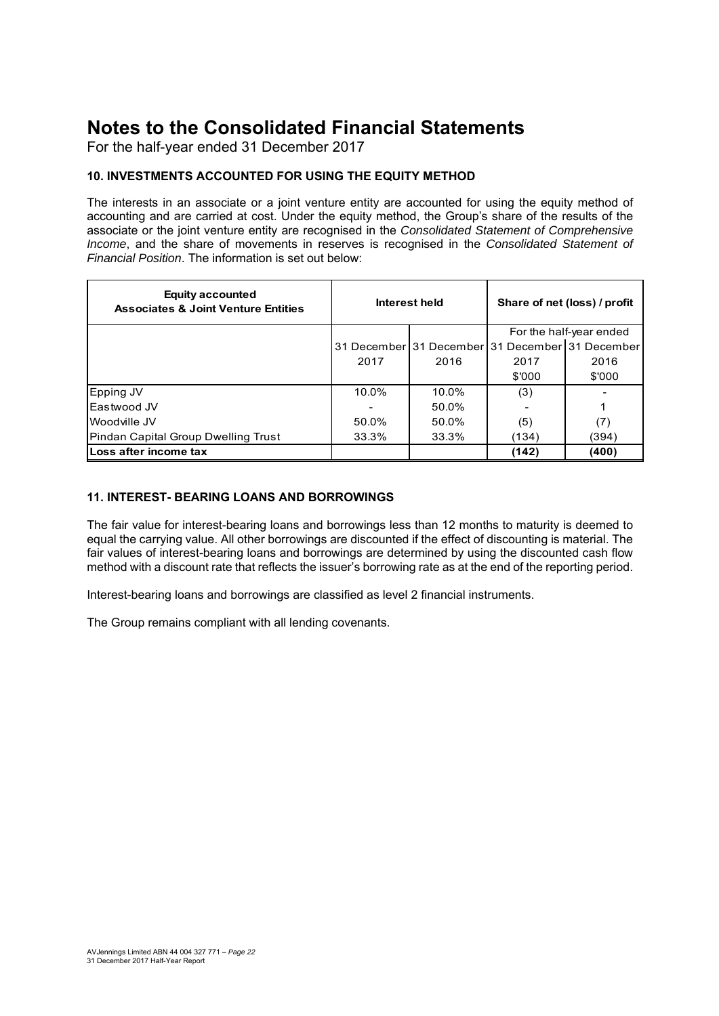For the half-year ended 31 December 2017

## **10. INVESTMENTS ACCOUNTED FOR USING THE EQUITY METHOD**

The interests in an associate or a joint venture entity are accounted for using the equity method of accounting and are carried at cost. Under the equity method, the Group's share of the results of the associate or the joint venture entity are recognised in the *Consolidated Statement of Comprehensive Income*, and the share of movements in reserves is recognised in the *Consolidated Statement of Financial Position*. The information is set out below:

| <b>Equity accounted</b><br><b>Associates &amp; Joint Venture Entities</b> |       | Interest held                                   | Share of net (loss) / profit |        |  |
|---------------------------------------------------------------------------|-------|-------------------------------------------------|------------------------------|--------|--|
|                                                                           |       |                                                 | For the half-year ended      |        |  |
|                                                                           |       | 31 December 31 December 31 December 31 December |                              |        |  |
|                                                                           | 2017  | 2016                                            | 2017                         | 2016   |  |
|                                                                           |       |                                                 | \$'000                       | \$'000 |  |
| Epping JV                                                                 | 10.0% | 10.0%                                           | (3)                          |        |  |
| Eastwood JV                                                               |       | 50.0%                                           |                              |        |  |
| Woodville JV                                                              | 50.0% | 50.0%                                           | (5)                          | (7)    |  |
| Pindan Capital Group Dwelling Trust                                       | 33.3% | 33.3%                                           | (134)                        | (394)  |  |
| lLoss after income tax                                                    |       |                                                 | (142)                        | (400)  |  |

## **11. INTEREST- BEARING LOANS AND BORROWINGS**

The fair value for interest-bearing loans and borrowings less than 12 months to maturity is deemed to equal the carrying value. All other borrowings are discounted if the effect of discounting is material. The fair values of interest-bearing loans and borrowings are determined by using the discounted cash flow method with a discount rate that reflects the issuer's borrowing rate as at the end of the reporting period.

Interest-bearing loans and borrowings are classified as level 2 financial instruments.

The Group remains compliant with all lending covenants.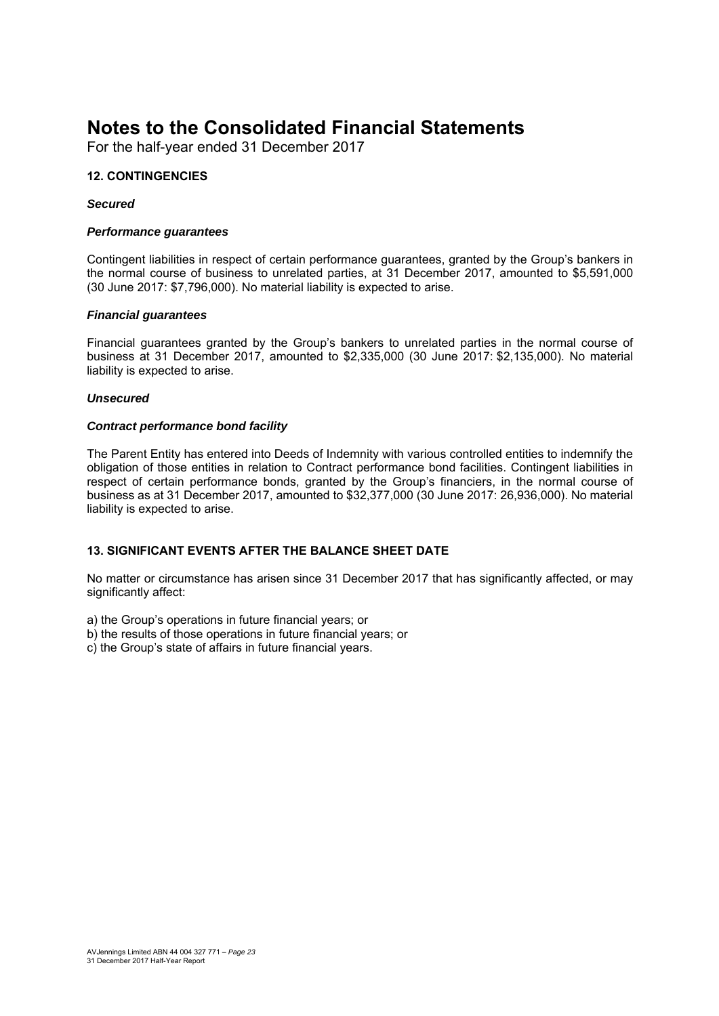For the half-year ended 31 December 2017

## **12. CONTINGENCIES**

#### *Secured*

#### *Performance guarantees*

Contingent liabilities in respect of certain performance guarantees, granted by the Group's bankers in the normal course of business to unrelated parties, at 31 December 2017, amounted to \$5,591,000 (30 June 2017: \$7,796,000). No material liability is expected to arise.

#### *Financial guarantees*

Financial guarantees granted by the Group's bankers to unrelated parties in the normal course of business at 31 December 2017, amounted to \$2,335,000 (30 June 2017: \$2,135,000). No material liability is expected to arise.

#### *Unsecured*

#### *Contract performance bond facility*

The Parent Entity has entered into Deeds of Indemnity with various controlled entities to indemnify the obligation of those entities in relation to Contract performance bond facilities. Contingent liabilities in respect of certain performance bonds, granted by the Group's financiers, in the normal course of business as at 31 December 2017, amounted to \$32,377,000 (30 June 2017: 26,936,000). No material liability is expected to arise.

## **13. SIGNIFICANT EVENTS AFTER THE BALANCE SHEET DATE**

No matter or circumstance has arisen since 31 December 2017 that has significantly affected, or may significantly affect:

a) the Group's operations in future financial years; or

- b) the results of those operations in future financial years; or
- c) the Group's state of affairs in future financial years.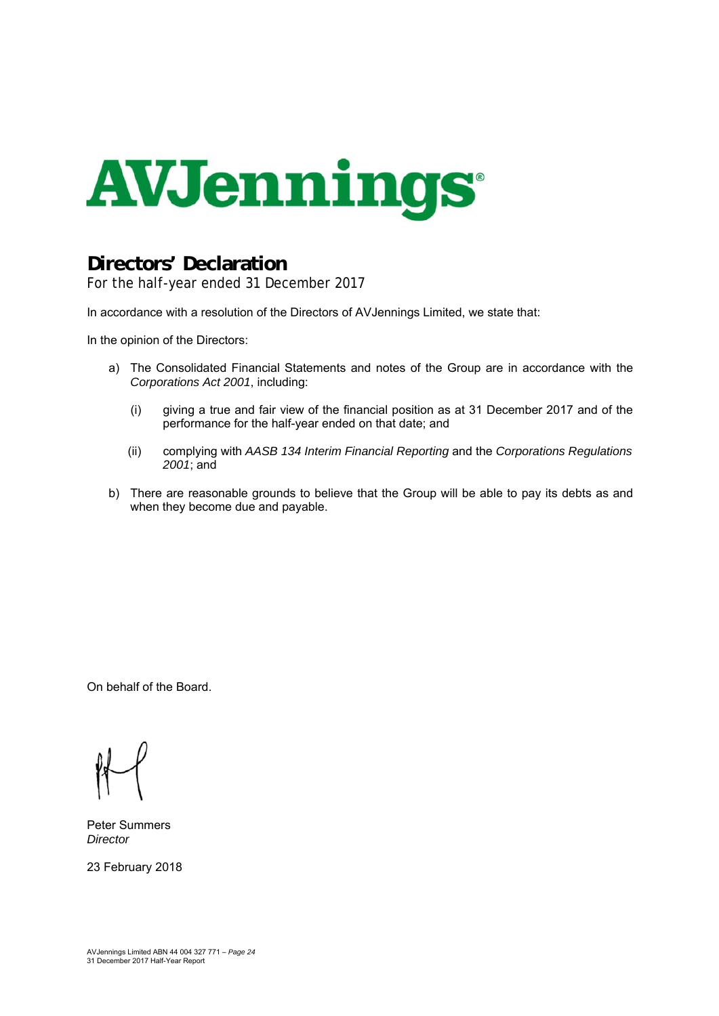

## **Directors' Declaration**

For the half-year ended 31 December 2017

In accordance with a resolution of the Directors of AVJennings Limited, we state that:

In the opinion of the Directors:

- a) The Consolidated Financial Statements and notes of the Group are in accordance with the *Corporations Act 2001*, including:
	- (i) giving a true and fair view of the financial position as at 31 December 2017 and of the performance for the half-year ended on that date; and
	- (ii) complying with *AASB 134 Interim Financial Reporting* and the *Corporations Regulations 2001*; and
- b) There are reasonable grounds to believe that the Group will be able to pay its debts as and when they become due and payable.

On behalf of the Board.

Peter Summers *Director* 

23 February 2018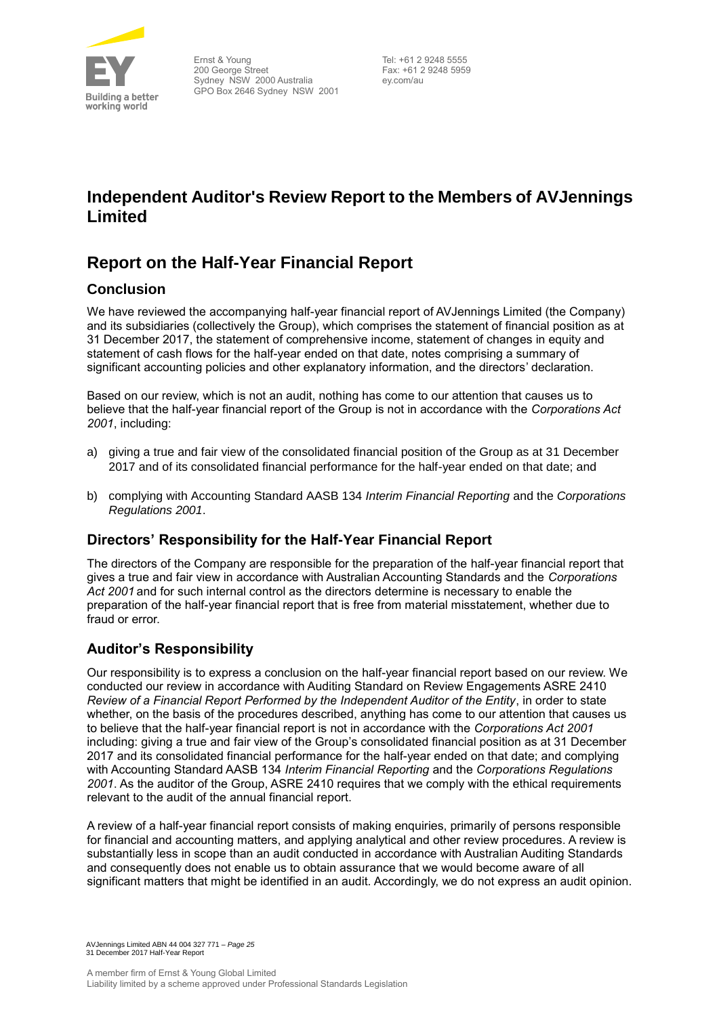

## **Independent Auditor's Review Report to the Members of AVJennings Limited**

## **Report on the Half-Year Financial Report**

## **Conclusion**

We have reviewed the accompanying half-year financial report of AVJennings Limited (the Company) and its subsidiaries (collectively the Group), which comprises the statement of financial position as at 31 December 2017, the statement of comprehensive income, statement of changes in equity and statement of cash flows for the half-year ended on that date, notes comprising a summary of significant accounting policies and other explanatory information, and the directors' declaration.

Based on our review, which is not an audit, nothing has come to our attention that causes us to believe that the half-year financial report of the Group is not in accordance with the *Corporations Act 2001*, including:

- a) giving a true and fair view of the consolidated financial position of the Group as at 31 December 2017 and of its consolidated financial performance for the half-year ended on that date; and
- b) complying with Accounting Standard AASB 134 *Interim Financial Reporting* and the *Corporations Regulations 2001*.

## **Directors' Responsibility for the Half-Year Financial Report**

The directors of the Company are responsible for the preparation of the half-year financial report that gives a true and fair view in accordance with Australian Accounting Standards and the *Corporations Act 2001* and for such internal control as the directors determine is necessary to enable the preparation of the half-year financial report that is free from material misstatement, whether due to fraud or error.

## **Auditor's Responsibility**

Our responsibility is to express a conclusion on the half-year financial report based on our review. We conducted our review in accordance with Auditing Standard on Review Engagements ASRE 2410 *Review of a Financial Report Performed by the Independent Auditor of the Entity*, in order to state whether, on the basis of the procedures described, anything has come to our attention that causes us to believe that the half-year financial report is not in accordance with the *Corporations Act 2001* including: giving a true and fair view of the Group's consolidated financial position as at 31 December 2017 and its consolidated financial performance for the half-year ended on that date; and complying with Accounting Standard AASB 134 *Interim Financial Reporting* and the *Corporations Regulations 2001*. As the auditor of the Group, ASRE 2410 requires that we comply with the ethical requirements relevant to the audit of the annual financial report.

A review of a half-year financial report consists of making enquiries, primarily of persons responsible for financial and accounting matters, and applying analytical and other review procedures. A review is substantially less in scope than an audit conducted in accordance with Australian Auditing Standards and consequently does not enable us to obtain assurance that we would become aware of all significant matters that might be identified in an audit. Accordingly, we do not express an audit opinion.

AVJennings Limited ABN 44 004 327 771 – *Page 25* 31 December 2017 Half-Year Report